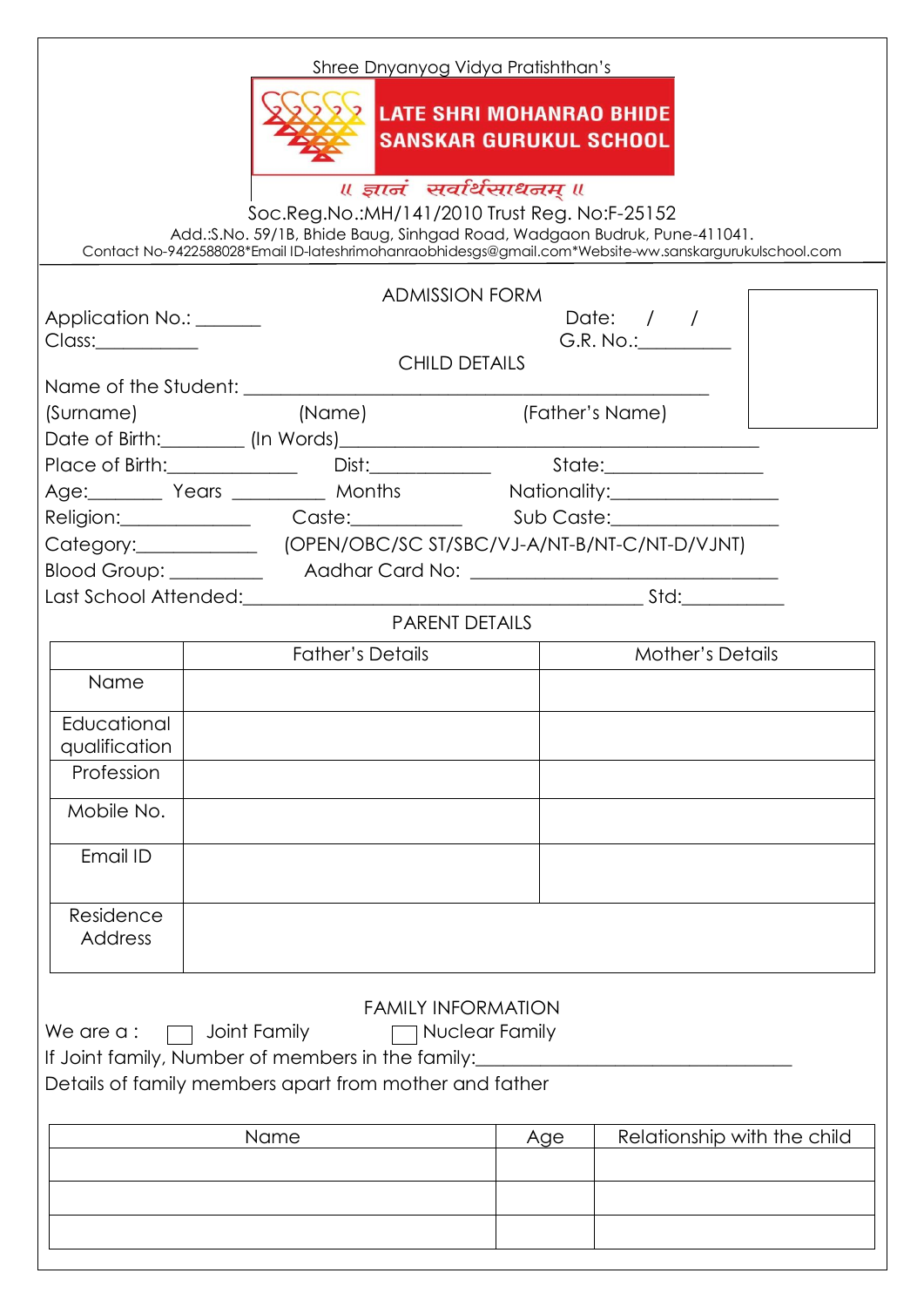| <b>ADMISSION FORM</b><br>Date: $/$ /<br>Application No.: ______<br>G.R. No.: ________<br>Class:<br><b>CHILD DETAILS</b><br>(Surname)<br>Age: Years Months Nationality:<br>Category: (OPEN/OBC/SC ST/SBC/VJ-A/NT-B/NT-C/NT-D/VJNT)<br><b>PARENT DETAILS</b><br><b>Father's Details</b><br><b>Mother's Details</b><br>Name<br>Educational<br>qualification<br>Profession<br>Mobile No.<br>Email ID<br>Residence<br><b>Address</b><br><b>FAMILY INFORMATION</b><br>We are a:<br>Joint Family<br>Nuclear Family<br>If Joint family, Number of members in the family:<br>Details of family members apart from mother and father | Soc.Reg.No.:MH/141/2010 Trust Reg. No:F-25152<br>Add.: S.No. 59/1B, Bhide Baug, Sinhgad Road, Wadgaon Budruk, Pune-411041. | <b>LATE SHRI MOHANRAO BHIDE</b><br><b>SANSKAR GURUKUL SCHOOL</b><br>॥ ज्ञानं सर्वार्थसाधनम् ॥ | Contact No-9422588028*Email ID-lateshrimohanraobhidesgs@gmail.com*Website-ww.sanskargurukulschool.com |
|----------------------------------------------------------------------------------------------------------------------------------------------------------------------------------------------------------------------------------------------------------------------------------------------------------------------------------------------------------------------------------------------------------------------------------------------------------------------------------------------------------------------------------------------------------------------------------------------------------------------------|----------------------------------------------------------------------------------------------------------------------------|-----------------------------------------------------------------------------------------------|-------------------------------------------------------------------------------------------------------|
|                                                                                                                                                                                                                                                                                                                                                                                                                                                                                                                                                                                                                            |                                                                                                                            |                                                                                               |                                                                                                       |
|                                                                                                                                                                                                                                                                                                                                                                                                                                                                                                                                                                                                                            |                                                                                                                            |                                                                                               |                                                                                                       |
|                                                                                                                                                                                                                                                                                                                                                                                                                                                                                                                                                                                                                            |                                                                                                                            |                                                                                               |                                                                                                       |
|                                                                                                                                                                                                                                                                                                                                                                                                                                                                                                                                                                                                                            |                                                                                                                            |                                                                                               |                                                                                                       |
|                                                                                                                                                                                                                                                                                                                                                                                                                                                                                                                                                                                                                            |                                                                                                                            |                                                                                               |                                                                                                       |
|                                                                                                                                                                                                                                                                                                                                                                                                                                                                                                                                                                                                                            |                                                                                                                            |                                                                                               |                                                                                                       |
|                                                                                                                                                                                                                                                                                                                                                                                                                                                                                                                                                                                                                            |                                                                                                                            |                                                                                               |                                                                                                       |
|                                                                                                                                                                                                                                                                                                                                                                                                                                                                                                                                                                                                                            |                                                                                                                            |                                                                                               |                                                                                                       |
|                                                                                                                                                                                                                                                                                                                                                                                                                                                                                                                                                                                                                            |                                                                                                                            |                                                                                               |                                                                                                       |
|                                                                                                                                                                                                                                                                                                                                                                                                                                                                                                                                                                                                                            |                                                                                                                            |                                                                                               |                                                                                                       |
|                                                                                                                                                                                                                                                                                                                                                                                                                                                                                                                                                                                                                            |                                                                                                                            |                                                                                               |                                                                                                       |
|                                                                                                                                                                                                                                                                                                                                                                                                                                                                                                                                                                                                                            |                                                                                                                            |                                                                                               |                                                                                                       |
|                                                                                                                                                                                                                                                                                                                                                                                                                                                                                                                                                                                                                            |                                                                                                                            |                                                                                               |                                                                                                       |
|                                                                                                                                                                                                                                                                                                                                                                                                                                                                                                                                                                                                                            |                                                                                                                            |                                                                                               |                                                                                                       |
|                                                                                                                                                                                                                                                                                                                                                                                                                                                                                                                                                                                                                            |                                                                                                                            |                                                                                               |                                                                                                       |
|                                                                                                                                                                                                                                                                                                                                                                                                                                                                                                                                                                                                                            |                                                                                                                            |                                                                                               |                                                                                                       |
|                                                                                                                                                                                                                                                                                                                                                                                                                                                                                                                                                                                                                            |                                                                                                                            |                                                                                               |                                                                                                       |
|                                                                                                                                                                                                                                                                                                                                                                                                                                                                                                                                                                                                                            |                                                                                                                            |                                                                                               |                                                                                                       |
|                                                                                                                                                                                                                                                                                                                                                                                                                                                                                                                                                                                                                            |                                                                                                                            |                                                                                               |                                                                                                       |
|                                                                                                                                                                                                                                                                                                                                                                                                                                                                                                                                                                                                                            |                                                                                                                            |                                                                                               |                                                                                                       |
|                                                                                                                                                                                                                                                                                                                                                                                                                                                                                                                                                                                                                            |                                                                                                                            |                                                                                               |                                                                                                       |
| Relationship with the child<br>Name<br>Age                                                                                                                                                                                                                                                                                                                                                                                                                                                                                                                                                                                 |                                                                                                                            |                                                                                               |                                                                                                       |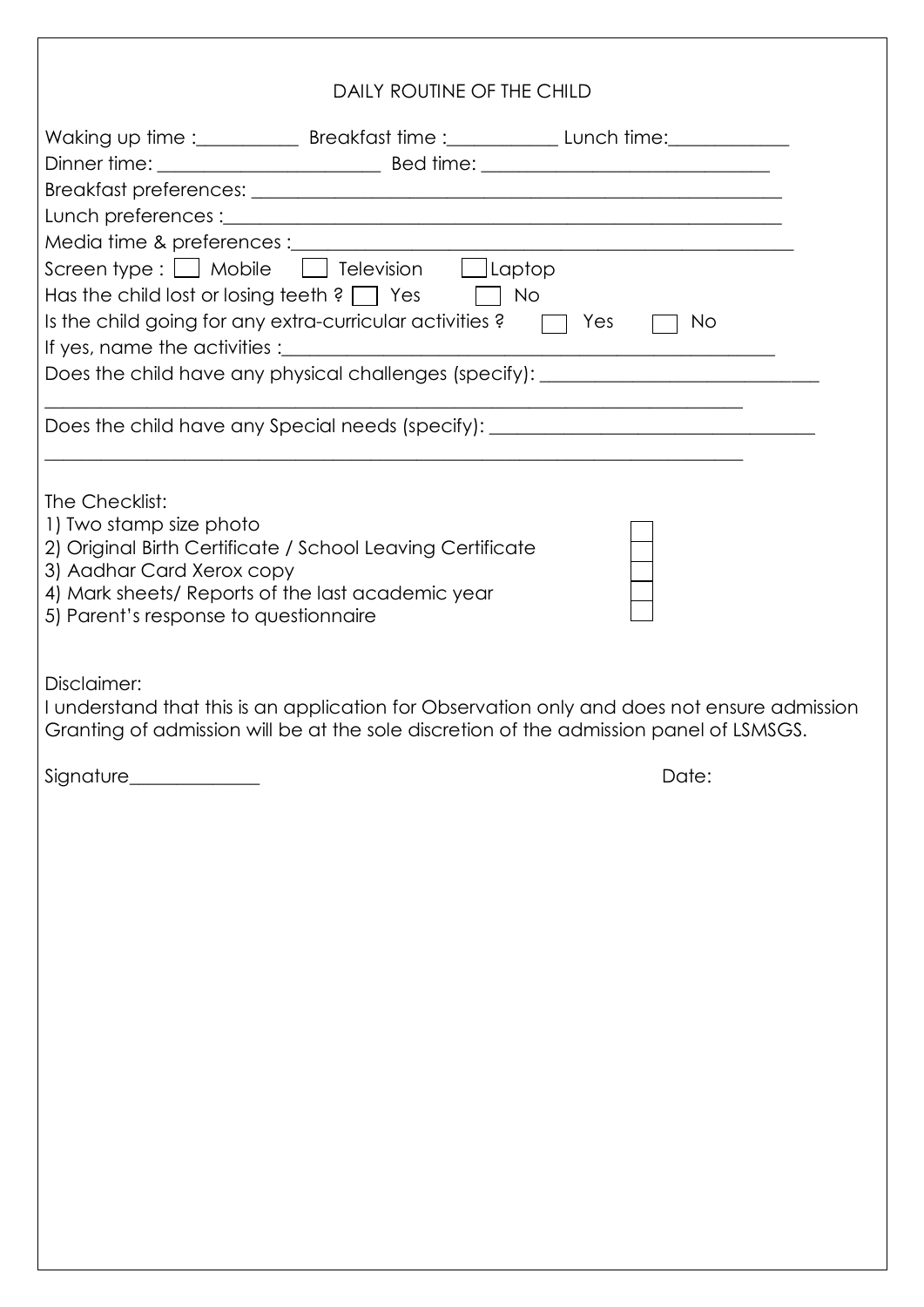| DAILY ROUTINE OF THE CHILD                                                                          |  |                                                                                                                       |    |  |  |  |
|-----------------------------------------------------------------------------------------------------|--|-----------------------------------------------------------------------------------------------------------------------|----|--|--|--|
| Waking up time :_____________ Breakfast time :___________________Lunch time:_______________________ |  |                                                                                                                       |    |  |  |  |
|                                                                                                     |  |                                                                                                                       |    |  |  |  |
|                                                                                                     |  |                                                                                                                       |    |  |  |  |
| Screen type : □ Mobile □ Television □ Laptop                                                        |  |                                                                                                                       |    |  |  |  |
| Has the child lost or losing teeth ? $\Box$ Yes $\Box$ No                                           |  |                                                                                                                       |    |  |  |  |
| Is the child going for any extra-curricular activities? $\Box$ Yes                                  |  |                                                                                                                       | No |  |  |  |
|                                                                                                     |  |                                                                                                                       |    |  |  |  |
| Does the child have any physical challenges (specify): _________________________                    |  |                                                                                                                       |    |  |  |  |
| Does the child have any Special needs (specify): _______________________________                    |  |                                                                                                                       |    |  |  |  |
|                                                                                                     |  | <u> 1990 - Johann John Stoff, amerikan besteht al-der al-der al-der al-der al-der al-der al-der al-der al-der al-</u> |    |  |  |  |
| The Checklist:                                                                                      |  |                                                                                                                       |    |  |  |  |
| 1) Two stamp size photo<br>2) Original Birth Certificate / School Leaving Certificate               |  |                                                                                                                       |    |  |  |  |
| 3) Aadhar Card Xerox copy                                                                           |  |                                                                                                                       |    |  |  |  |
| 4) Mark sheets/ Reports of the last academic year<br>5) Parent's response to questionnaire          |  |                                                                                                                       |    |  |  |  |
|                                                                                                     |  |                                                                                                                       |    |  |  |  |
| Disclaimer:                                                                                         |  |                                                                                                                       |    |  |  |  |
| I understand that this is an application for Observation only and does not ensure admission         |  |                                                                                                                       |    |  |  |  |

Granting of admission will be at the sole discretion of the admission panel of LSMSGS.

Signature\_\_\_\_\_\_\_\_\_\_\_\_\_\_ Date: